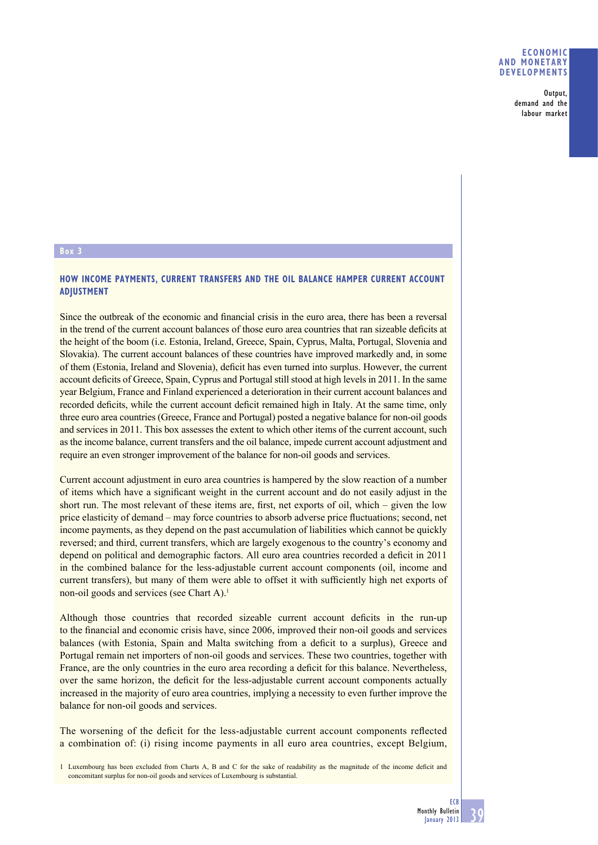## **ECONOMIC AND MONETARY DEVELOPMENTS**

Output, demand and the labour market

#### **Box 3**

# **HOW INCOME PAYMENTS, CURRENT TRANSFERS AND THE OIL BALANCE HAMPER CURRENT ACCOUNT ADJUSTMENT**

Since the outbreak of the economic and financial crisis in the euro area, there has been a reversal in the trend of the current account balances of those euro area countries that ran sizeable deficits at the height of the boom (i.e. Estonia, Ireland, Greece, Spain, Cyprus, Malta, Portugal, Slovenia and Slovakia). The current account balances of these countries have improved markedly and, in some of them (Estonia, Ireland and Slovenia), deficit has even turned into surplus. However, the current account deficits of Greece, Spain, Cyprus and Portugal still stood at high levels in 2011. In the same year Belgium, France and Finland experienced a deterioration in their current account balances and recorded deficits, while the current account deficit remained high in Italy. At the same time, only three euro area countries (Greece, France and Portugal) posted a negative balance for non-oil goods and services in 2011. This box assesses the extent to which other items of the current account, such as the income balance, current transfers and the oil balance, impede current account adjustment and require an even stronger improvement of the balance for non-oil goods and services.

Current account adjustment in euro area countries is hampered by the slow reaction of a number of items which have a significant weight in the current account and do not easily adjust in the short run. The most relevant of these items are, first, net exports of oil, which – given the low price elasticity of demand – may force countries to absorb adverse price fluctuations; second, net income payments, as they depend on the past accumulation of liabilities which cannot be quickly reversed; and third, current transfers, which are largely exogenous to the country's economy and depend on political and demographic factors. All euro area countries recorded a deficit in 2011 in the combined balance for the less-adjustable current account components (oil, income and current transfers), but many of them were able to offset it with sufficiently high net exports of non-oil goods and services (see Chart A).<sup>1</sup>

Although those countries that recorded sizeable current account deficits in the run-up to the financial and economic crisis have, since 2006, improved their non-oil goods and services balances (with Estonia, Spain and Malta switching from a deficit to a surplus), Greece and Portugal remain net importers of non-oil goods and services. These two countries, together with France, are the only countries in the euro area recording a deficit for this balance. Nevertheless, over the same horizon, the deficit for the less-adjustable current account components actually increased in the majority of euro area countries, implying a necessity to even further improve the balance for non-oil goods and services.

The worsening of the deficit for the less-adjustable current account components reflected a combination of: (i) rising income payments in all euro area countries, except Belgium,

<sup>1</sup> Luxembourg has been excluded from Charts A, B and C for the sake of readability as the magnitude of the income deficit and concomitant surplus for non-oil goods and services of Luxembourg is substantial.

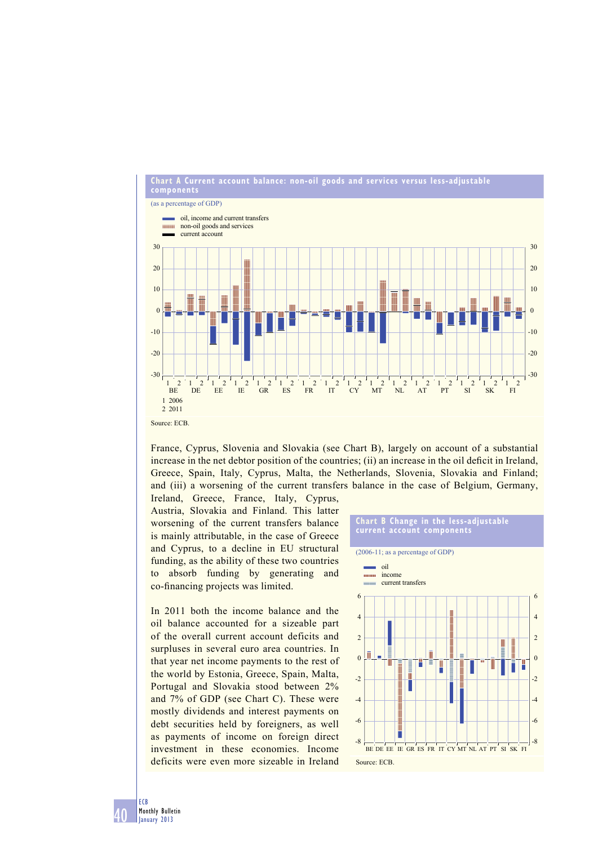

France, Cyprus, Slovenia and Slovakia (see Chart B), largely on account of a substantial increase in the net debtor position of the countries; (ii) an increase in the oil deficit in Ireland, Greece, Spain, Italy, Cyprus, Malta, the Netherlands, Slovenia, Slovakia and Finland; and (iii) a worsening of the current transfers balance in the case of Belgium, Germany,

Ireland, Greece, France, Italy, Cyprus, Austria, Slovakia and Finland. This latter worsening of the current transfers balance is mainly attributable, in the case of Greece and Cyprus, to a decline in EU structural funding, as the ability of these two countries to absorb funding by generating and co-financing projects was limited.

In 2011 both the income balance and the oil balance accounted for a sizeable part of the overall current account deficits and surpluses in several euro area countries. In that year net income payments to the rest of the world by Estonia, Greece, Spain, Malta, Portugal and Slovakia stood between 2% and 7% of GDP (see Chart C). These were mostly dividends and interest payments on debt securities held by foreigners, as well as payments of income on foreign direct investment in these economies. Income deficits were even more sizeable in Ireland

### **Chart B Change in the less-adjustable current account components**



**ECB**<br>Monthly Bulletin January 2013